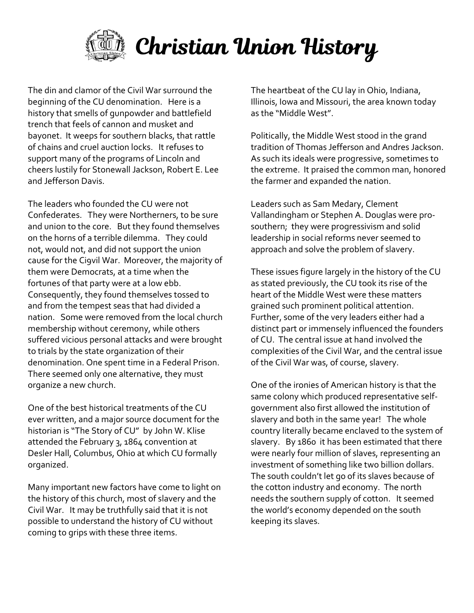

The din and clamor of the Civil War surround the beginning of the CU denomination. Here is a history that smells of gunpowder and battlefield trench that feels of cannon and musket and bayonet. It weeps for southern blacks, that rattle of chains and cruel auction locks. It refuses to support many of the programs of Lincoln and cheers lustily for Stonewall Jackson, Robert E. Lee and Jefferson Davis.

The leaders who founded the CU were not Confederates. They were Northerners, to be sure and union to the core. But they found themselves on the horns of a terrible dilemma. They could not, would not, and did not support the union cause for the Ci9vil War. Moreover, the majority of them were Democrats, at a time when the fortunes of that party were at a low ebb. Consequently, they found themselves tossed to and from the tempest seas that had divided a nation. Some were removed from the local church membership without ceremony, while others suffered vicious personal attacks and were brought to trials by the state organization of their denomination. One spent time in a Federal Prison. There seemed only one alternative, they must organize a new church.

One of the best historical treatments of the CU ever written, and a major source document for the historian is "The Story of CU" by John W. Klise attended the February 3, 1864 convention at Desler Hall, Columbus, Ohio at which CU formally organized.

Many important new factors have come to light on the history of this church, most of slavery and the Civil War. It may be truthfully said that it is not possible to understand the history of CU without coming to grips with these three items.

The heartbeat of the CU lay in Ohio, Indiana, Illinois, Iowa and Missouri, the area known today as the "Middle West".

Politically, the Middle West stood in the grand tradition of Thomas Jefferson and Andres Jackson. As such its ideals were progressive, sometimes to the extreme. It praised the common man, honored the farmer and expanded the nation.

Leaders such as Sam Medary, Clement Vallandingham or Stephen A. Douglas were prosouthern; they were progressivism and solid leadership in social reforms never seemed to approach and solve the problem of slavery.

These issues figure largely in the history of the CU as stated previously, the CU took its rise of the heart of the Middle West were these matters grained such prominent political attention. Further, some of the very leaders either had a distinct part or immensely influenced the founders of CU. The central issue at hand involved the complexities of the Civil War, and the central issue of the Civil War was, of course, slavery.

One of the ironies of American history is that the same colony which produced representative selfgovernment also first allowed the institution of slavery and both in the same year! The whole country literally became enclaved to the system of slavery. By 1860 it has been estimated that there were nearly four million of slaves, representing an investment of something like two billion dollars. The south couldn't let go of its slaves because of the cotton industry and economy. The north needs the southern supply of cotton. It seemed the world's economy depended on the south keeping its slaves.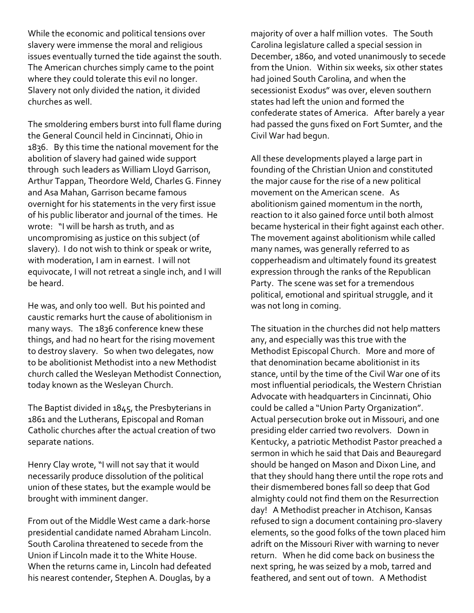While the economic and political tensions over slavery were immense the moral and religious issues eventually turned the tide against the south. The American churches simply came to the point where they could tolerate this evil no longer. Slavery not only divided the nation, it divided churches as well.

The smoldering embers burst into full flame during the General Council held in Cincinnati, Ohio in 1836. By this time the national movement for the abolition of slavery had gained wide support through such leaders as William Lloyd Garrison, Arthur Tappan, Theordore Weld, Charles G. Finney and Asa Mahan, Garrison became famous overnight for his statements in the very first issue of his public liberator and journal of the times. He wrote: "I will be harsh as truth, and as uncompromising as justice on this subject (of slavery). I do not wish to think or speak or write, with moderation, I am in earnest. I will not equivocate, I will not retreat a single inch, and I will be heard.

He was, and only too well. But his pointed and caustic remarks hurt the cause of abolitionism in many ways. The 1836 conference knew these things, and had no heart for the rising movement to destroy slavery. So when two delegates, now to be abolitionist Methodist into a new Methodist church called the Wesleyan Methodist Connection, today known as the Wesleyan Church.

The Baptist divided in 1845, the Presbyterians in 1861 and the Lutherans, Episcopal and Roman Catholic churches after the actual creation of two separate nations.

Henry Clay wrote, "I will not say that it would necessarily produce dissolution of the political union of these states, but the example would be brought with imminent danger.

From out of the Middle West came a dark-horse presidential candidate named Abraham Lincoln. South Carolina threatened to secede from the Union if Lincoln made it to the White House. When the returns came in, Lincoln had defeated his nearest contender, Stephen A. Douglas, by a

majority of over a half million votes. The South Carolina legislature called a special session in December, 1860, and voted unanimously to secede from the Union. Within six weeks, six other states had joined South Carolina, and when the secessionist Exodus" was over, eleven southern states had left the union and formed the confederate states of America. After barely a year had passed the guns fixed on Fort Sumter, and the Civil War had begun.

All these developments played a large part in founding of the Christian Union and constituted the major cause for the rise of a new political movement on the American scene. As abolitionism gained momentum in the north, reaction to it also gained force until both almost became hysterical in their fight against each other. The movement against abolitionism while called many names, was generally referred to as copperheadism and ultimately found its greatest expression through the ranks of the Republican Party. The scene was set for a tremendous political, emotional and spiritual struggle, and it was not long in coming.

The situation in the churches did not help matters any, and especially was this true with the Methodist Episcopal Church. More and more of that denomination became abolitionist in its stance, until by the time of the Civil War one of its most influential periodicals, the Western Christian Advocate with headquarters in Cincinnati, Ohio could be called a "Union Party Organization". Actual persecution broke out in Missouri, and one presiding elder carried two revolvers. Down in Kentucky, a patriotic Methodist Pastor preached a sermon in which he said that Dais and Beauregard should be hanged on Mason and Dixon Line, and that they should hang there until the rope rots and their dismembered bones fall so deep that God almighty could not find them on the Resurrection day! A Methodist preacher in Atchison, Kansas refused to sign a document containing pro-slavery elements, so the good folks of the town placed him adrift on the Missouri River with warning to never return. When he did come back on business the next spring, he was seized by a mob, tarred and feathered, and sent out of town. A Methodist